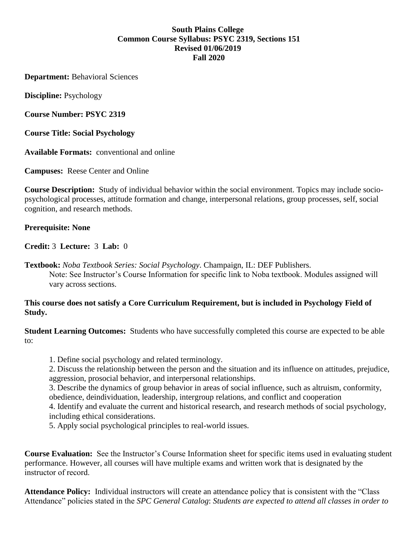# **South Plains College Common Course Syllabus: PSYC 2319, Sections 151 Revised 01/06/2019 Fall 2020**

**Department:** Behavioral Sciences

**Discipline:** Psychology

**Course Number: PSYC 2319**

**Course Title: Social Psychology**

**Available Formats:** conventional and online

**Campuses:** Reese Center and Online

**Course Description:** Study of individual behavior within the social environment. Topics may include sociopsychological processes, attitude formation and change, interpersonal relations, group processes, self, social cognition, and research methods.

## **Prerequisite: None**

**Credit:** 3 **Lecture:** 3 **Lab:** 0

**Textbook:** *Noba Textbook Series: Social Psychology*. Champaign, IL: DEF Publishers. Note: See Instructor's Course Information for specific link to Noba textbook. Modules assigned will vary across sections.

## **This course does not satisfy a Core Curriculum Requirement, but is included in Psychology Field of Study.**

**Student Learning Outcomes:** Students who have successfully completed this course are expected to be able to:

1. Define social psychology and related terminology.

2. Discuss the relationship between the person and the situation and its influence on attitudes, prejudice, aggression, prosocial behavior, and interpersonal relationships.

3. Describe the dynamics of group behavior in areas of social influence, such as altruism, conformity, obedience, deindividuation, leadership, intergroup relations, and conflict and cooperation

4. Identify and evaluate the current and historical research, and research methods of social psychology, including ethical considerations.

5. Apply social psychological principles to real-world issues.

**Course Evaluation:** See the Instructor's Course Information sheet for specific items used in evaluating student performance. However, all courses will have multiple exams and written work that is designated by the instructor of record. 

**Attendance Policy:** Individual instructors will create an attendance policy that is consistent with the "Class Attendance" policies stated in the *SPC General Catalog*: *Students are expected to attend all classes in order to*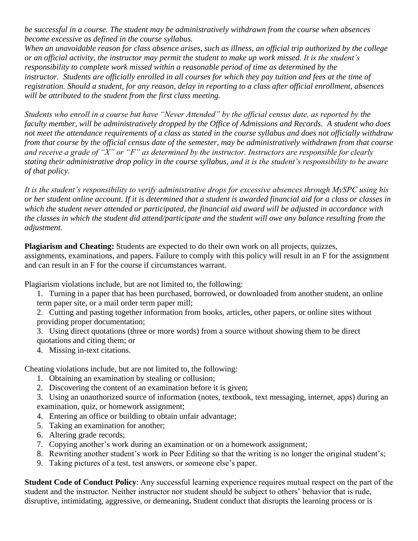*be successful in a course. The student may be administratively withdrawn from the course when absences become excessive as defined in the course syllabus.*

*When an unavoidable reason for class absence arises, such as illness, an official trip authorized by the college or an official activity, the instructor may permit the student to make up work missed. It is the student's responsibility to complete work missed within a reasonable period of time as determined by the instructor. Students are officially enrolled in all courses for which they pay tuition and fees at the time of registration. Should a student, for any reason, delay in reporting to a class after official enrollment, absences will be attributed to the student from the first class meeting.*

*Students who enroll in a course but have "Never Attended" by the official census date, as reported by the faculty member, will be administratively dropped by the Office of Admissions and Records. A student who does not meet the attendance requirements of a class as stated in the course syllabus and does not officially withdraw from that course by the official census date of the semester, may be administratively withdrawn from that course and receive a grade of "X" or "F" as determined by the instructor. Instructors are responsible for clearly stating their administrative drop policy in the course syllabus, and it is the student's responsibility to be aware of that policy.*

*It is the student's responsibility to verify administrative drops for excessive absences through MySPC using his or her student online account. If it is determined that a student is awarded financial aid for a class or classes in which the student never attended or participated, the financial aid award will be adjusted in accordance with the classes in which the student did attend/participate and the student will owe any balance resulting from the adjustment.*

**Plagiarism and Cheating:** Students are expected to do their own work on all projects, quizzes,

assignments, examinations, and papers. Failure to comply with this policy will result in an F for the assignment and can result in an F for the course if circumstances warrant.

Plagiarism violations include, but are not limited to, the following:

1. Turning in a paper that has been purchased, borrowed, or downloaded from another student, an online term paper site, or a mail order term paper mill;

2. Cutting and pasting together information from books, articles, other papers, or online sites without providing proper documentation;

3. Using direct quotations (three or more words) from a source without showing them to be direct quotations and citing them; or

4. Missing in-text citations.

Cheating violations include, but are not limited to, the following:

- 1. Obtaining an examination by stealing or collusion;
- 2. Discovering the content of an examination before it is given;
- 3. Using an unauthorized source of information (notes, textbook, text messaging, internet, apps) during an examination, quiz, or homework assignment;
- 4. Entering an office or building to obtain unfair advantage;
- 5. Taking an examination for another;
- 6. Altering grade records;
- 7. Copying another's work during an examination or on a homework assignment;
- 8. Rewriting another student's work in Peer Editing so that the writing is no longer the original student's;
- 9. Taking pictures of a test, test answers, or someone else's paper.

**Student Code of Conduct Policy**: Any successful learning experience requires mutual respect on the part of the student and the instructor. Neither instructor nor student should be subject to others' behavior that is rude, disruptive, intimidating, aggressive, or demeaning**.** Student conduct that disrupts the learning process or is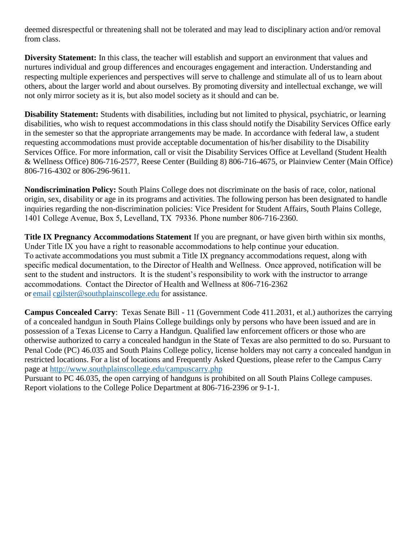deemed disrespectful or threatening shall not be tolerated and may lead to disciplinary action and/or removal from class.

**Diversity Statement:** In this class, the teacher will establish and support an environment that values and nurtures individual and group differences and encourages engagement and interaction. Understanding and respecting multiple experiences and perspectives will serve to challenge and stimulate all of us to learn about others, about the larger world and about ourselves. By promoting diversity and intellectual exchange, we will not only mirror society as it is, but also model society as it should and can be.

**Disability Statement:** Students with disabilities, including but not limited to physical, psychiatric, or learning disabilities, who wish to request accommodations in this class should notify the Disability Services Office early in the semester so that the appropriate arrangements may be made. In accordance with federal law, a student requesting accommodations must provide acceptable documentation of his/her disability to the Disability Services Office. For more information, call or visit the Disability Services Office at Levelland (Student Health & Wellness Office) 806-716-2577, Reese Center (Building 8) 806-716-4675, or Plainview Center (Main Office) 806-716-4302 or 806-296-9611.

**Nondiscrimination Policy:** South Plains College does not discriminate on the basis of race, color, national origin, sex, disability or age in its programs and activities. The following person has been designated to handle inquiries regarding the non-discrimination policies: Vice President for Student Affairs, South Plains College, 1401 College Avenue, Box 5, Levelland, TX  79336. Phone number 806-716-2360.

**Title IX Pregnancy Accommodations Statement** If you are pregnant, or have given birth within six months, Under Title IX you have a right to reasonable accommodations to help continue your education.  To activate accommodations you must submit a Title IX pregnancy accommodations request, along with specific medical documentation, to the Director of Health and Wellness.  Once approved, notification will be sent to the student and instructors.  It is the student's responsibility to work with the instructor to arrange accommodations.  Contact the Director of Health and Wellness at 806-716-2362 or[email](http://www.southplainscollege.edu/employees/manualshandbooks/facultyhandbook/sec4.php) [cgilster@southplainscollege.edu f](mailto:cgilster@southplainscollege.edu)or assistance.  

**Campus Concealed Carry**: Texas Senate Bill - 11 (Government Code 411.2031, et al.) authorizes the carrying of a concealed handgun in South Plains College buildings only by persons who have been issued and are in possession of a Texas License to Carry a Handgun. Qualified law enforcement officers or those who are otherwise authorized to carry a concealed handgun in the State of Texas are also permitted to do so. Pursuant to Penal Code (PC) 46.035 and South Plains College policy, license holders may not carry a concealed handgun in restricted locations. For a list of locations and Frequently Asked Questions, please refer to the Campus Carry page at<http://www.southplainscollege.edu/campuscarry.php>

Pursuant to PC 46.035, the open carrying of handguns is prohibited on all South Plains College campuses. Report violations to the College Police Department at 806-716-2396 or 9-1-1.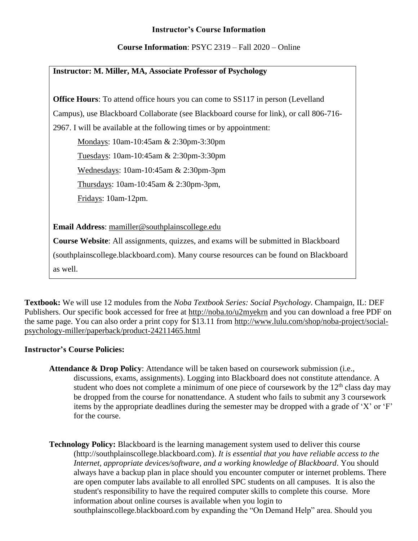# **Instructor's Course Information**

**Course Information**: PSYC 2319 – Fall 2020 – Online

## **Instructor: M. Miller, MA, Associate Professor of Psychology**

**Office Hours**: To attend office hours you can come to SS117 in person (Levelland

Campus), use Blackboard Collaborate (see Blackboard course for link), or call 806-716-

2967. I will be available at the following times or by appointment:

Mondays: 10am-10:45am & 2:30pm-3:30pm

Tuesdays: 10am-10:45am & 2:30pm-3:30pm

Wednesdays: 10am-10:45am & 2:30pm-3pm

Thursdays: 10am-10:45am & 2:30pm-3pm,

Fridays: 10am-12pm.

**Email Address**: [mamiller@southplainscollege.edu](mailto:mamiller@southplainscollege.edu)

**Course Website**: All assignments, quizzes, and exams will be submitted in Blackboard

(southplainscollege.blackboard.com). Many course resources can be found on Blackboard

as well.

**Textbook:** We will use 12 modules from the *Noba Textbook Series: Social Psychology*. Champaign, IL: DEF Publishers. Our specific book accessed for free at<http://noba.to/u2myekrn> and you can download a free PDF on the same page. You can also order a print copy for \$13.11 from [http://www.lulu.com/shop/noba-project/social](http://www.lulu.com/shop/noba-project/social-psychology-miller/paperback/product-24211465.html)[psychology-miller/paperback/product-24211465.html](http://www.lulu.com/shop/noba-project/social-psychology-miller/paperback/product-24211465.html)

# **Instructor's Course Policies:**

- **Attendance & Drop Policy**: Attendance will be taken based on coursework submission (i.e., discussions, exams, assignments). Logging into Blackboard does not constitute attendance. A student who does not complete a minimum of one piece of coursework by the  $12<sup>th</sup>$  class day may be dropped from the course for nonattendance. A student who fails to submit any 3 coursework items by the appropriate deadlines during the semester may be dropped with a grade of 'X' or 'F' for the course.
- **Technology Policy:** Blackboard is the learning management system used to deliver this course [\(http://southplainscollege.blackboard.com\)](https://southplainscollege.blackboard.com/). *It is essential that you have reliable access to the Internet, appropriate devices/software, and a working knowledge of Blackboard*. You should always have a backup plan in place should you encounter computer or internet problems. There are open computer labs available to all enrolled SPC students on all campuses. It is also the student's responsibility to have the required computer skills to complete this course. More information about online courses is available when you login to [southplainscollege.blackboard.com](http://www.southplainscollege.edu/online) by expanding the "On Demand Help" area. Should you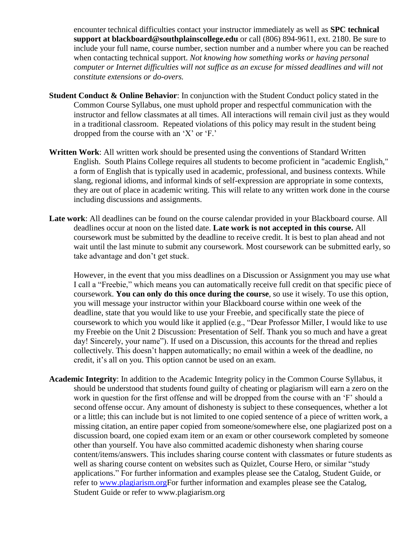encounter technical difficulties contact your instructor immediately as well as **SPC technical support at [blackboard@southplainscollege.edu](mailto:blackboard@southplainscollege.edu)** or call (806) 894-9611, ext. 2180. Be sure to include your full name, course number, section number and a number where you can be reached when contacting technical support. *Not knowing how something works or having personal computer or Internet difficulties will not suffice as an excuse for missed deadlines and will not constitute extensions or do-overs.*

- **Student Conduct & Online Behavior**: In conjunction with the Student Conduct policy stated in the Common Course Syllabus, one must uphold proper and respectful communication with the instructor and fellow classmates at all times. All interactions will remain civil just as they would in a traditional classroom. Repeated violations of this policy may result in the student being dropped from the course with an 'X' or 'F.'
- **Written Work**: All written work should be presented using the conventions of Standard Written English. South Plains College requires all students to become proficient in "academic English," a form of English that is typically used in academic, professional, and business contexts. While slang, regional idioms, and informal kinds of self-expression are appropriate in some contexts, they are out of place in academic writing. This will relate to any written work done in the course including discussions and assignments.
- **Late work**: All deadlines can be found on the course calendar provided in your Blackboard course. All deadlines occur at noon on the listed date. **Late work is not accepted in this course.** All coursework must be submitted by the deadline to receive credit. It is best to plan ahead and not wait until the last minute to submit any coursework. Most coursework can be submitted early, so take advantage and don't get stuck.

However, in the event that you miss deadlines on a Discussion or Assignment you may use what I call a "Freebie," which means you can automatically receive full credit on that specific piece of coursework. **You can only do this once during the course**, so use it wisely. To use this option, you will message your instructor within your Blackboard course within one week of the deadline, state that you would like to use your Freebie, and specifically state the piece of coursework to which you would like it applied (e.g., "Dear Professor Miller, I would like to use my Freebie on the Unit 2 Discussion: Presentation of Self. Thank you so much and have a great day! Sincerely, your name"). If used on a Discussion, this accounts for the thread and replies collectively. This doesn't happen automatically; no email within a week of the deadline, no credit, it's all on you. This option cannot be used on an exam.

**Academic Integrity**: In addition to the Academic Integrity policy in the Common Course Syllabus, it should be understood that students found guilty of cheating or plagiarism will earn a zero on the work in question for the first offense and will be dropped from the course with an 'F' should a second offense occur. Any amount of dishonesty is subject to these consequences, whether a lot or a little; this can include but is not limited to one copied sentence of a piece of written work, a missing citation, an entire paper copied from someone/somewhere else, one plagiarized post on a discussion board, one copied exam item or an exam or other coursework completed by someone other than yourself. You have also committed academic dishonesty when sharing course content/items/answers. This includes sharing course content with classmates or future students as well as sharing course content on websites such as Quizlet, Course Hero, or similar "study applications." For further information and examples please see the Catalog, Student Guide, or refer to [www.plagiarism.orgF](http://www.plagiarism.org/)or further information and examples please see the Catalog, Student Guide or refer to [www.plagiarism.org](http://www.plagiarism.org/)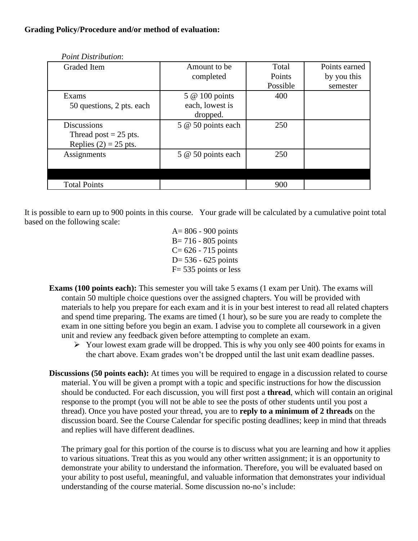| Graded Item               | Amount to be       | Total    | Points earned |
|---------------------------|--------------------|----------|---------------|
|                           | completed          | Points   | by you this   |
|                           |                    | Possible | semester      |
| Exams                     | 5 @ 100 points     | 400      |               |
| 50 questions, 2 pts. each | each, lowest is    |          |               |
|                           | dropped.           |          |               |
| <b>Discussions</b>        | 5 @ 50 points each | 250      |               |
| Thread post $= 25$ pts.   |                    |          |               |
| Replies $(2) = 25$ pts.   |                    |          |               |
| Assignments               | 5 @ 50 points each | 250      |               |
|                           |                    |          |               |
|                           |                    |          |               |
| <b>Total Points</b>       |                    | 900      |               |
|                           |                    |          |               |

*Point Distribution*:

It is possible to earn up to 900 points in this course. Your grade will be calculated by a cumulative point total based on the following scale:

> A= 806 - 900 points B= 716 - 805 points  $C = 626 - 715$  points  $D= 536 - 625$  points F= 535 points or less

- **Exams (100 points each):** This semester you will take 5 exams (1 exam per Unit). The exams will contain 50 multiple choice questions over the assigned chapters. You will be provided with materials to help you prepare for each exam and it is in your best interest to read all related chapters and spend time preparing. The exams are timed (1 hour), so be sure you are ready to complete the exam in one sitting before you begin an exam. I advise you to complete all coursework in a given unit and review any feedback given before attempting to complete an exam.
	- $\triangleright$  Your lowest exam grade will be dropped. This is why you only see 400 points for exams in the chart above. Exam grades won't be dropped until the last unit exam deadline passes.
- **Discussions (50 points each):** At times you will be required to engage in a discussion related to course material. You will be given a prompt with a topic and specific instructions for how the discussion should be conducted. For each discussion, you will first post a **thread**, which will contain an original response to the prompt (you will not be able to see the posts of other students until you post a thread). Once you have posted your thread, you are to **reply to a minimum of 2 threads** on the discussion board. See the Course Calendar for specific posting deadlines; keep in mind that threads and replies will have different deadlines.

The primary goal for this portion of the course is to discuss what you are learning and how it applies to various situations. Treat this as you would any other written assignment; it is an opportunity to demonstrate your ability to understand the information. Therefore, you will be evaluated based on your ability to post useful, meaningful, and valuable information that demonstrates your individual understanding of the course material. Some discussion no-no's include: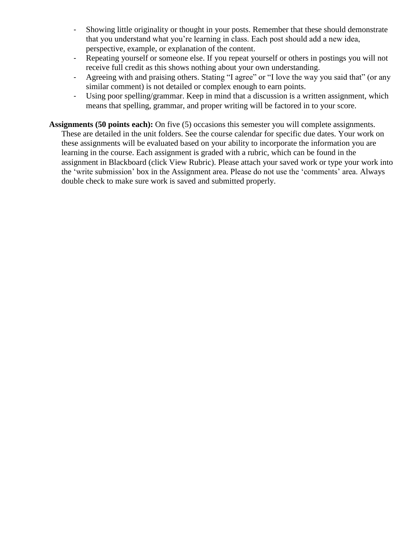- Showing little originality or thought in your posts. Remember that these should demonstrate that you understand what you're learning in class. Each post should add a new idea, perspective, example, or explanation of the content.
- Repeating yourself or someone else. If you repeat yourself or others in postings you will not receive full credit as this shows nothing about your own understanding.
- Agreeing with and praising others. Stating "I agree" or "I love the way you said that" (or any similar comment) is not detailed or complex enough to earn points.
- Using poor spelling/grammar. Keep in mind that a discussion is a written assignment, which means that spelling, grammar, and proper writing will be factored in to your score.
- **Assignments (50 points each):** On five (5) occasions this semester you will complete assignments. These are detailed in the unit folders. See the course calendar for specific due dates. Your work on these assignments will be evaluated based on your ability to incorporate the information you are learning in the course. Each assignment is graded with a rubric, which can be found in the assignment in Blackboard (click View Rubric). Please attach your saved work or type your work into the 'write submission' box in the Assignment area. Please do not use the 'comments' area. Always double check to make sure work is saved and submitted properly.